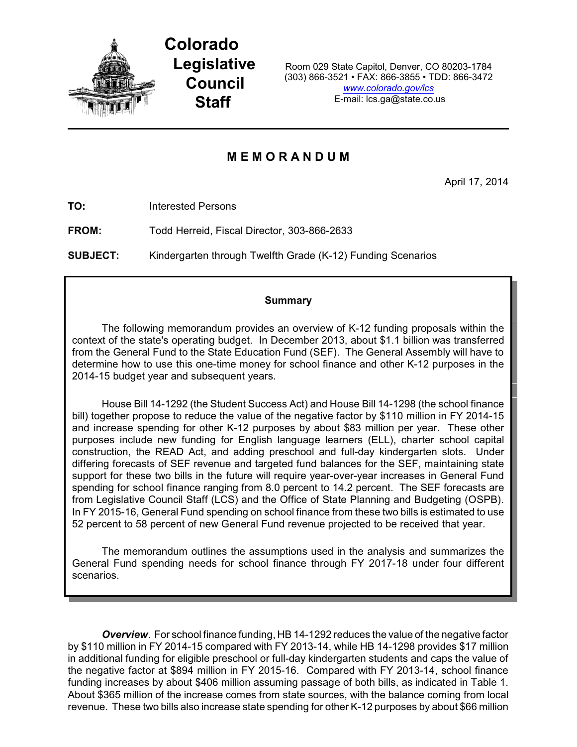

**Colorado Legislative Council Staff**

Room 029 State Capitol, Denver, CO 80203-1784 (303) 866-3521 • FAX: 866-3855 • TDD: 866-3472 *[www.colorado.gov/lcs](http://www.colorado.gov/lcs)* E-mail: lcs.ga@state.co.us

# **M E M O R A N D U M**

April 17, 2014

**TO:** Interested Persons

**FROM:** Todd Herreid, Fiscal Director, 303-866-2633

**SUBJECT:** Kindergarten through Twelfth Grade (K-12) Funding Scenarios

## **Summary**

The following memorandum provides an overview of K-12 funding proposals within the context of the state's operating budget. In December 2013, about \$1.1 billion was transferred from the General Fund to the State Education Fund (SEF). The General Assembly will have to determine how to use this one-time money for school finance and other K-12 purposes in the 2014-15 budget year and subsequent years.

House Bill 14-1292 (the Student Success Act) and House Bill 14-1298 (the school finance bill) together propose to reduce the value of the negative factor by \$110 million in FY 2014-15 and increase spending for other K-12 purposes by about \$83 million per year. These other purposes include new funding for English language learners (ELL), charter school capital construction, the READ Act, and adding preschool and full-day kindergarten slots. Under differing forecasts of SEF revenue and targeted fund balances for the SEF, maintaining state support for these two bills in the future will require year-over-year increases in General Fund spending for school finance ranging from 8.0 percent to 14.2 percent. The SEF forecasts are from Legislative Council Staff (LCS) and the Office of State Planning and Budgeting (OSPB). In FY 2015-16, General Fund spending on school finance from these two bills is estimated to use 52 percent to 58 percent of new General Fund revenue projected to be received that year.

The memorandum outlines the assumptions used in the analysis and summarizes the General Fund spending needs for school finance through FY 2017-18 under four different scenarios.

*Overview*. For school finance funding, HB 14-1292 reduces the value of the negative factor by \$110 million in FY 2014-15 compared with FY 2013-14, while HB 14-1298 provides \$17 million in additional funding for eligible preschool or full-day kindergarten students and caps the value of the negative factor at \$894 million in FY 2015-16. Compared with FY 2013-14, school finance funding increases by about \$406 million assuming passage of both bills, as indicated in Table 1. About \$365 million of the increase comes from state sources, with the balance coming from local revenue. These two bills also increase state spending for other K-12 purposes by about \$66 million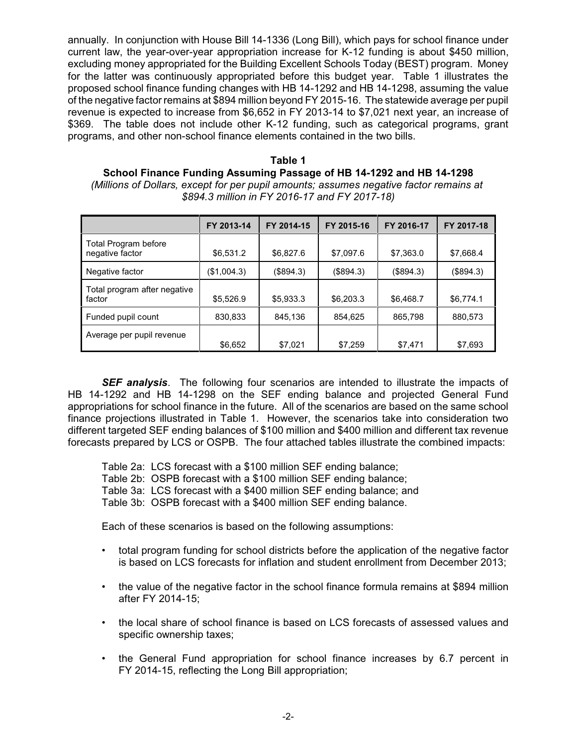annually. In conjunction with House Bill 14-1336 (Long Bill), which pays for school finance under current law, the year-over-year appropriation increase for K-12 funding is about \$450 million, excluding money appropriated for the Building Excellent Schools Today (BEST) program. Money for the latter was continuously appropriated before this budget year. Table 1 illustrates the proposed school finance funding changes with HB 14-1292 and HB 14-1298, assuming the value of the negative factor remains at \$894 million beyond FY 2015-16. The statewide average per pupil revenue is expected to increase from \$6,652 in FY 2013-14 to \$7,021 next year, an increase of \$369. The table does not include other K-12 funding, such as categorical programs, grant programs, and other non-school finance elements contained in the two bills.

**Table 1 School Finance Funding Assuming Passage of HB 14-1292 and HB 14-1298** *(Millions of Dollars, except for per pupil amounts; assumes negative factor remains at \$894.3 million in FY 2016-17 and FY 2017-18)*

|                                                | FY 2013-14  | FY 2014-15 | FY 2015-16 | FY 2016-17 | FY 2017-18 |
|------------------------------------------------|-------------|------------|------------|------------|------------|
| <b>Total Program before</b><br>negative factor | \$6,531.2   | \$6,827.6  | \$7,097.6  | \$7,363.0  | \$7,668.4  |
| Negative factor                                | (\$1,004.3) | (\$894.3)  | (\$894.3)  | (\$894.3)  | (\$894.3)  |
| Total program after negative<br>factor         | \$5,526.9   | \$5,933.3  | \$6,203.3  | \$6,468.7  | \$6,774.1  |
| Funded pupil count                             | 830,833     | 845,136    | 854,625    | 865,798    | 880,573    |
| Average per pupil revenue                      | \$6,652     | \$7,021    | \$7,259    | \$7,471    | \$7,693    |

*SEF analysis*. The following four scenarios are intended to illustrate the impacts of HB 14-1292 and HB 14-1298 on the SEF ending balance and projected General Fund appropriations for school finance in the future. All of the scenarios are based on the same school finance projections illustrated in Table 1. However, the scenarios take into consideration two different targeted SEF ending balances of \$100 million and \$400 million and different tax revenue forecasts prepared by LCS or OSPB. The four attached tables illustrate the combined impacts:

Table 2a: LCS forecast with a \$100 million SEF ending balance;

Table 2b: OSPB forecast with a \$100 million SEF ending balance;

Table 3a: LCS forecast with a \$400 million SEF ending balance; and

Table 3b: OSPB forecast with a \$400 million SEF ending balance.

Each of these scenarios is based on the following assumptions:

- total program funding for school districts before the application of the negative factor is based on LCS forecasts for inflation and student enrollment from December 2013;
- the value of the negative factor in the school finance formula remains at \$894 million after FY 2014-15;
- the local share of school finance is based on LCS forecasts of assessed values and specific ownership taxes;
- the General Fund appropriation for school finance increases by 6.7 percent in FY 2014-15, reflecting the Long Bill appropriation;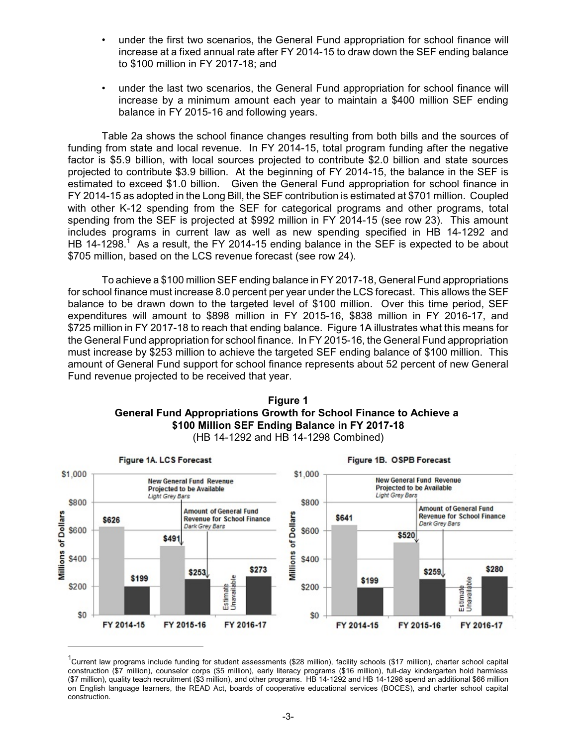- under the first two scenarios, the General Fund appropriation for school finance will increase at a fixed annual rate after FY 2014-15 to draw down the SEF ending balance to \$100 million in FY 2017-18; and
- under the last two scenarios, the General Fund appropriation for school finance will increase by a minimum amount each year to maintain a \$400 million SEF ending balance in FY 2015-16 and following years.

Table 2a shows the school finance changes resulting from both bills and the sources of funding from state and local revenue. In FY 2014-15, total program funding after the negative factor is \$5.9 billion, with local sources projected to contribute \$2.0 billion and state sources projected to contribute \$3.9 billion. At the beginning of FY 2014-15, the balance in the SEF is estimated to exceed \$1.0 billion. Given the General Fund appropriation for school finance in FY 2014-15 as adopted in the Long Bill, the SEF contribution is estimated at \$701 million. Coupled with other K-12 spending from the SEF for categorical programs and other programs, total spending from the SEF is projected at \$992 million in FY 2014-15 (see row 23). This amount includes programs in current law as well as new spending specified in HB 14-1292 and HB 14-1298.<sup>1</sup> As a result, the FY 2014-15 ending balance in the SEF is expected to be about \$705 million, based on the LCS revenue forecast (see row 24).

To achieve a \$100 million SEF ending balance in FY 2017-18, General Fund appropriations for school finance must increase 8.0 percent per year under the LCS forecast. This allows the SEF balance to be drawn down to the targeted level of \$100 million. Over this time period, SEF expenditures will amount to \$898 million in FY 2015-16, \$838 million in FY 2016-17, and \$725 million in FY 2017-18 to reach that ending balance. Figure 1A illustrates what this means for the General Fund appropriation for school finance. In FY 2015-16, the General Fund appropriation must increase by \$253 million to achieve the targeted SEF ending balance of \$100 million. This amount of General Fund support for school finance represents about 52 percent of new General Fund revenue projected to be received that year.





(HB 14-1292 and HB 14-1298 Combined)

<sup>&</sup>lt;sup>1</sup>Current law programs include funding for student assessments (\$28 million), facility schools (\$17 million), charter school capital construction (\$7 million), counselor corps (\$5 million), early literacy programs (\$16 million), full-day kindergarten hold harmless (\$7 million), quality teach recruitment (\$3 million), and other programs. HB 14-1292 and HB 14-1298 spend an additional \$66 million on English language learners, the READ Act, boards of cooperative educational services (BOCES), and charter school capital construction.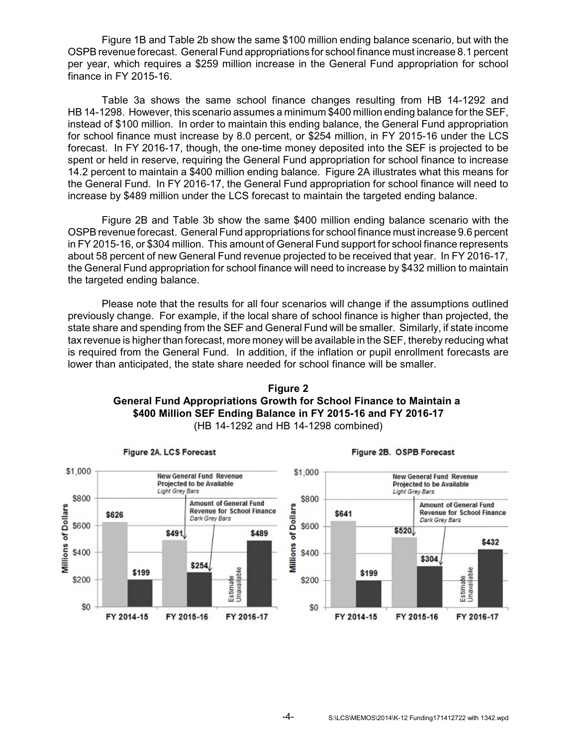Figure 1B and Table 2b show the same \$100 million ending balance scenario, but with the OSPB revenue forecast. General Fund appropriations for school finance must increase 8.1 percent per year, which requires a \$259 million increase in the General Fund appropriation for school finance in FY 2015-16.

Table 3a shows the same school finance changes resulting from HB 14-1292 and HB 14-1298. However, this scenario assumes a minimum \$400 million ending balance for the SEF, instead of \$100 million. In order to maintain this ending balance, the General Fund appropriation for school finance must increase by 8.0 percent, or \$254 million, in FY 2015-16 under the LCS forecast. In FY 2016-17, though, the one-time money deposited into the SEF is projected to be spent or held in reserve, requiring the General Fund appropriation for school finance to increase 14.2 percent to maintain a \$400 million ending balance. Figure 2A illustrates what this means for the General Fund. In FY 2016-17, the General Fund appropriation for school finance will need to increase by \$489 million under the LCS forecast to maintain the targeted ending balance.

Figure 2B and Table 3b show the same \$400 million ending balance scenario with the OSPB revenue forecast. General Fund appropriations for school finance must increase 9.6 percent in FY 2015-16, or \$304 million. This amount of General Fund support for school finance represents about 58 percent of new General Fund revenue projected to be received that year. In FY 2016-17, the General Fund appropriation for school finance will need to increase by \$432 million to maintain the targeted ending balance.

Please note that the results for all four scenarios will change if the assumptions outlined previously change. For example, if the local share of school finance is higher than projected, the state share and spending from the SEF and General Fund will be smaller. Similarly, if state income tax revenue is higher than forecast, more money will be available in the SEF, thereby reducing what is required from the General Fund. In addition, if the inflation or pupil enrollment forecasts are lower than anticipated, the state share needed for school finance will be smaller.





Figure 2B. OSPB Forecast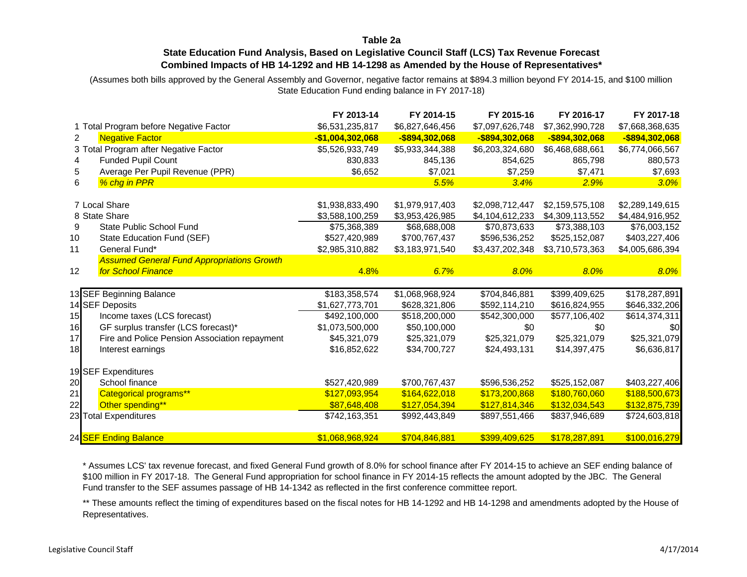## **Table 2a**

## **State Education Fund Analysis, Based on Legislative Council Staff (LCS) Tax Revenue Forecast Combined Impacts of HB 14-1292 and HB 14-1298 as Amended by the House of Representatives\***

(Assumes both bills approved by the General Assembly and Governor, negative factor remains at \$894.3 million beyond FY 2014-15, and \$100 million State Education Fund ending balance in FY 2017-18)

|                 |                                                   | FY 2013-14        | FY 2014-15      | FY 2015-16      | FY 2016-17      | FY 2017-18      |
|-----------------|---------------------------------------------------|-------------------|-----------------|-----------------|-----------------|-----------------|
|                 | 1 Total Program before Negative Factor            | \$6,531,235,817   | \$6,827,646,456 | \$7,097,626,748 | \$7,362,990,728 | \$7,668,368,635 |
| $\overline{2}$  | <b>Negative Factor</b>                            | $-$1,004,302,068$ | -\$894,302,068  | -\$894,302,068  | -\$894,302,068  | -\$894,302,068  |
|                 | 3 Total Program after Negative Factor             | \$5,526,933,749   | \$5,933,344,388 | \$6,203,324,680 | \$6,468,688,661 | \$6,774,066,567 |
|                 | Funded Pupil Count                                | 830,833           | 845,136         | 854,625         | 865,798         | 880,573         |
| 5               | Average Per Pupil Revenue (PPR)                   | \$6,652           | \$7,021         | \$7,259         | \$7,471         | \$7,693         |
| 6               | % chg in PPR                                      |                   | 5.5%            | 3.4%            | 2.9%            | 3.0%            |
|                 |                                                   |                   |                 |                 |                 |                 |
|                 | 7 Local Share                                     | \$1,938,833,490   | \$1,979,917,403 | \$2,098,712,447 | \$2,159,575,108 | \$2,289,149,615 |
|                 | 8 State Share                                     | \$3,588,100,259   | \$3,953,426,985 | \$4,104,612,233 | \$4,309,113,552 | \$4,484,916,952 |
| 9               | State Public School Fund                          | \$75,368,389      | \$68,688,008    | \$70,873,633    | \$73,388,103    | \$76,003,152    |
| 10              | State Education Fund (SEF)                        | \$527,420,989     | \$700,767,437   | \$596,536,252   | \$525,152,087   | \$403,227,406   |
| 11              | General Fund*                                     | \$2,985,310,882   | \$3,183,971,540 | \$3,437,202,348 | \$3,710,573,363 | \$4,005,686,394 |
|                 | <b>Assumed General Fund Appropriations Growth</b> |                   |                 |                 |                 |                 |
| 12              | <b>for School Finance</b>                         | 4.8%              | 6.7%            | 8.0%            | 8.0%            | 8.0%            |
|                 |                                                   |                   |                 |                 |                 |                 |
|                 | 13 SEF Beginning Balance                          | \$183,358,574     | \$1,068,968,924 | \$704,846,881   | \$399,409,625   | \$178,287,891   |
|                 | 14 SEF Deposits                                   | \$1,627,773,701   | \$628,321,806   | \$592,114,210   | \$616,824,955   | \$646,332,206   |
| 15              | Income taxes (LCS forecast)                       | \$492,100,000     | \$518,200,000   | \$542,300,000   | \$577,106,402   | \$614,374,311   |
| 16              | GF surplus transfer (LCS forecast)*               | \$1,073,500,000   | \$50,100,000    | \$0             | \$0             | \$0             |
| 17              | Fire and Police Pension Association repayment     | \$45,321,079      | \$25,321,079    | \$25,321,079    | \$25,321,079    | \$25,321,079    |
| 18 <sup>l</sup> | Interest earnings                                 | \$16,852,622      | \$34,700,727    | \$24,493,131    | \$14,397,475    | \$6,636,817     |
|                 |                                                   |                   |                 |                 |                 |                 |
|                 | 19 SEF Expenditures                               |                   |                 |                 |                 |                 |
| 20              | School finance                                    | \$527,420,989     | \$700,767,437   | \$596,536,252   | \$525,152,087   | \$403,227,406   |
| 21              | <b>Categorical programs**</b>                     | \$127,093,954     | \$164,622,018   | \$173,200,868   | \$180,760,060   | \$188,500,673   |
| 22              | Other spending**                                  | \$87,648,408      | \$127,054,394   | \$127,814,346   | \$132,034,543   | \$132,875,739   |
|                 | 23 Total Expenditures                             | \$742,163,351     | \$992,443,849   | \$897,551,466   | \$837,946,689   | \$724,603,818   |
|                 |                                                   |                   |                 |                 |                 |                 |
|                 | 24 SEF Ending Balance                             | \$1,068,968,924   | \$704,846,881   | \$399,409,625   | \$178,287,891   | \$100,016,279   |

\* Assumes LCS' tax revenue forecast, and fixed General Fund growth of 8.0% for school finance after FY 2014-15 to achieve an SEF ending balance of \$100 million in FY 2017-18. The General Fund appropriation for school finance in FY 2014-15 reflects the amount adopted by the JBC. The General Fund transfer to the SEF assumes passage of HB 14-1342 as reflected in the first conference committee report.

\*\* These amounts reflect the timing of expenditures based on the fiscal notes for HB 14-1292 and HB 14-1298 and amendments adopted by the House of Representatives.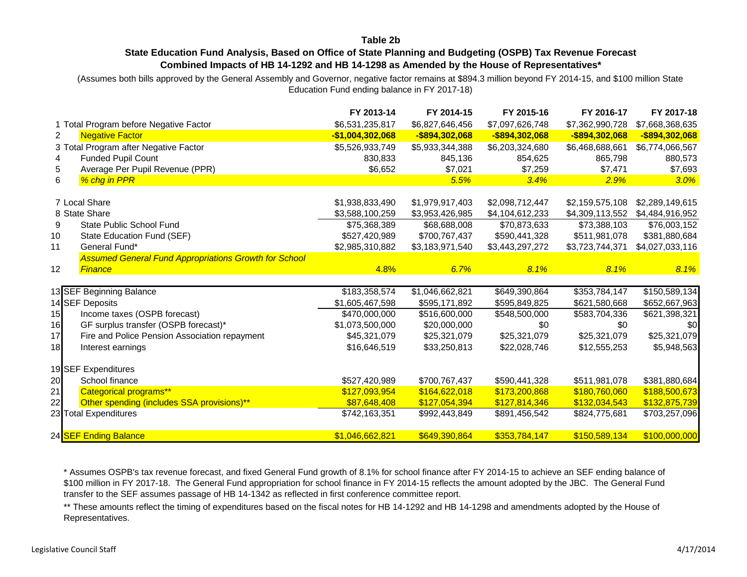#### **Table 2b**

## **State Education Fund Analysis, Based on Office of State Planning and Budgeting (OSPB) Tax Revenue Forecast Combined Impacts of HB 14-1292 and HB 14-1298 as Amended by the House of Representatives\***

(Assumes both bills approved by the General Assembly and Governor, negative factor remains at \$894.3 million beyond FY 2014-15, and \$100 million State Education Fund ending balance in FY 2017-18)

|    |                                                              | FY 2013-14        | FY 2014-15      | FY 2015-16      | FY 2016-17      | FY 2017-18      |
|----|--------------------------------------------------------------|-------------------|-----------------|-----------------|-----------------|-----------------|
|    | 1 Total Program before Negative Factor                       | \$6,531,235,817   | \$6,827,646,456 | \$7,097,626,748 | \$7,362,990,728 | \$7,668,368,635 |
| 2  | <b>Negative Factor</b>                                       | $-$1,004,302,068$ | -\$894,302,068  | -\$894,302,068  | -\$894,302,068  | -\$894,302,068  |
|    | 3 Total Program after Negative Factor                        | \$5,526,933,749   | \$5,933,344,388 | \$6,203,324,680 | \$6,468,688,661 | \$6,774,066,567 |
| 4  | Funded Pupil Count                                           | 830,833           | 845,136         | 854,625         | 865,798         | 880,573         |
| 5  | Average Per Pupil Revenue (PPR)                              | \$6,652           | \$7,021         | \$7,259         | \$7,471         | \$7,693         |
| 6  | % chg in PPR                                                 |                   | 5.5%            | 3.4%            | 2.9%            | 3.0%            |
|    |                                                              |                   |                 |                 |                 |                 |
|    | 7 Local Share                                                | \$1,938,833,490   | \$1,979,917,403 | \$2,098,712,447 | \$2,159,575,108 | \$2,289,149,615 |
|    | 8 State Share                                                | \$3,588,100,259   | \$3,953,426,985 | \$4,104,612,233 | \$4,309,113,552 | \$4,484,916,952 |
| 9  | <b>State Public School Fund</b>                              | \$75,368,389      | \$68,688,008    | \$70,873,633    | \$73,388,103    | \$76,003,152    |
| 10 | State Education Fund (SEF)                                   | \$527,420,989     | \$700,767,437   | \$590,441,328   | \$511,981,078   | \$381,880,684   |
| 11 | General Fund*                                                | \$2,985,310,882   | \$3,183,971,540 | \$3,443,297,272 | \$3,723,744,371 | \$4,027,033,116 |
|    | <b>Assumed General Fund Appropriations Growth for School</b> |                   |                 |                 |                 |                 |
| 12 | Finance                                                      | 4.8%              | 6.7%            | 8.1%            | 8.1%            | 8.1%            |
|    |                                                              |                   |                 |                 |                 |                 |
|    | 13 SEF Beginning Balance                                     | \$183,358,574     | \$1,046,662,821 | \$649,390,864   | \$353,784,147   | \$150,589,134   |
|    | 14 SEF Deposits                                              | \$1,605,467,598   | \$595,171,892   | \$595,849,825   | \$621,580,668   | \$652,667,963   |
| 15 | Income taxes (OSPB forecast)                                 | \$470,000,000     | \$516,600,000   | \$548,500,000   | \$583,704,336   | \$621,398,321   |
| 16 | GF surplus transfer (OSPB forecast)*                         | \$1,073,500,000   | \$20,000,000    | \$0             | \$0             | <b>\$0</b>      |
| 17 | Fire and Police Pension Association repayment                | \$45,321,079      | \$25,321,079    | \$25,321,079    | \$25,321,079    | \$25,321,079    |
| 18 | Interest earnings                                            | \$16,646,519      | \$33,250,813    | \$22,028,746    | \$12,555,253    | \$5,948,563     |
|    |                                                              |                   |                 |                 |                 |                 |
|    | 19 SEF Expenditures                                          |                   |                 |                 |                 |                 |
| 20 | School finance                                               | \$527,420,989     | \$700,767,437   | \$590,441,328   | \$511,981,078   | \$381,880,684   |
| 21 | Categorical programs**                                       | \$127,093,954     | \$164,622,018   | \$173,200,868   | \$180,760,060   | \$188,500,673   |
| 22 | Other spending (includes SSA provisions)**                   | \$87,648,408      | \$127,054,394   | \$127,814,346   | \$132,034,543   | \$132,875,739   |
|    | 23 Total Expenditures                                        | \$742,163,351     | \$992,443,849   | \$891,456,542   | \$824,775,681   | \$703,257,096   |
|    | 24 SEF Ending Balance                                        | \$1,046,662,821   | \$649,390,864   | \$353,784,147   | \$150,589,134   | \$100,000,000   |
|    |                                                              |                   |                 |                 |                 |                 |

\* Assumes OSPB's tax revenue forecast, and fixed General Fund growth of 8.1% for school finance after FY 2014-15 to achieve an SEF ending balance of \$100 million in FY 2017-18. The General Fund appropriation for school finance in FY 2014-15 reflects the amount adopted by the JBC. The General Fund transfer to the SEF assumes passage of HB 14-1342 as reflected in first conference committee report.

\*\* These amounts reflect the timing of expenditures based on the fiscal notes for HB 14-1292 and HB 14-1298 and amendments adopted by the House of Representatives.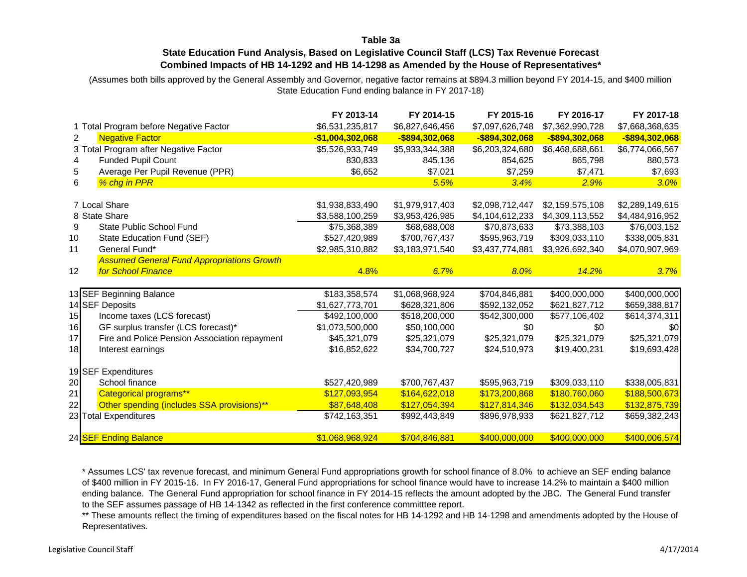## **Table 3a**

## **State Education Fund Analysis, Based on Legislative Council Staff (LCS) Tax Revenue Forecast Combined Impacts of HB 14-1292 and HB 14-1298 as Amended by the House of Representatives\***

(Assumes both bills approved by the General Assembly and Governor, negative factor remains at \$894.3 million beyond FY 2014-15, and \$400 million State Education Fund ending balance in FY 2017-18)

|                                                     | FY 2013-14        | FY 2014-15      | FY 2015-16      | FY 2016-17      | FY 2017-18      |
|-----------------------------------------------------|-------------------|-----------------|-----------------|-----------------|-----------------|
| 1 Total Program before Negative Factor              | \$6,531,235,817   | \$6,827,646,456 | \$7,097,626,748 | \$7,362,990,728 | \$7,668,368,635 |
| <b>Negative Factor</b><br>$\overline{2}$            | $-$1,004,302,068$ | -\$894,302,068  | -\$894,302,068  | -\$894,302,068  | -\$894,302,068  |
| 3 Total Program after Negative Factor               | \$5,526,933,749   | \$5,933,344,388 | \$6,203,324,680 | \$6,468,688,661 | \$6,774,066,567 |
| Funded Pupil Count                                  | 830,833           | 845,136         | 854,625         | 865,798         | 880,573         |
| Average Per Pupil Revenue (PPR)<br>5                | \$6,652           | \$7,021         | \$7,259         | \$7,471         | \$7,693         |
| % chg in PPR<br>6                                   |                   | 5.5%            | 3.4%            | 2.9%            | 3.0%            |
|                                                     |                   |                 |                 |                 |                 |
| 7 Local Share                                       | \$1,938,833,490   | \$1,979,917,403 | \$2,098,712,447 | \$2,159,575,108 | \$2,289,149,615 |
| 8 State Share                                       | \$3,588,100,259   | \$3,953,426,985 | \$4,104,612,233 | \$4,309,113,552 | \$4,484,916,952 |
| State Public School Fund<br>9                       | \$75,368,389      | \$68,688,008    | \$70,873,633    | \$73,388,103    | \$76,003,152    |
| State Education Fund (SEF)<br>10                    | \$527,420,989     | \$700,767,437   | \$595,963,719   | \$309,033,110   | \$338,005,831   |
| General Fund*<br>11                                 | \$2,985,310,882   | \$3,183,971,540 | \$3,437,774,881 | \$3,926,692,340 | \$4,070,907,969 |
| <b>Assumed General Fund Appropriations Growth</b>   |                   |                 |                 |                 |                 |
| <b>for School Finance</b><br>12                     | 4.8%              | 6.7%            | 8.0%            | 14.2%           | 3.7%            |
|                                                     |                   |                 |                 |                 |                 |
| 13 SEF Beginning Balance                            | \$183,358,574     | \$1,068,968,924 | \$704,846,881   | \$400,000,000   | \$400,000,000   |
| 14 SEF Deposits                                     | \$1,627,773,701   | \$628,321,806   | \$592,132,052   | \$621,827,712   | \$659,388,817   |
| Income taxes (LCS forecast)<br>15                   | \$492,100,000     | \$518,200,000   | \$542,300,000   | \$577,106,402   | \$614,374,311   |
| GF surplus transfer (LCS forecast)*<br>16           | \$1,073,500,000   | \$50,100,000    | \$0             | \$0             | \$0             |
| Fire and Police Pension Association repayment<br>17 | \$45,321,079      | \$25,321,079    | \$25,321,079    | \$25,321,079    | \$25,321,079    |
| 18<br>Interest earnings                             | \$16,852,622      | \$34,700,727    | \$24,510,973    | \$19,400,231    | \$19,693,428    |
|                                                     |                   |                 |                 |                 |                 |
| 19 SEF Expenditures                                 |                   |                 |                 |                 |                 |
| School finance<br>20                                | \$527,420,989     | \$700,767,437   | \$595,963,719   | \$309,033,110   | \$338,005,831   |
| <b>Categorical programs**</b><br>21                 | \$127,093,954     | \$164,622,018   | \$173,200,868   | \$180,760,060   | \$188,500,673   |
| Other spending (includes SSA provisions)**<br>22    | \$87,648,408      | \$127,054,394   | \$127,814,346   | \$132,034,543   | \$132,875,739   |
| 23 Total Expenditures                               | \$742,163,351     | \$992,443,849   | \$896,978,933   | \$621,827,712   | \$659,382,243   |
| 24 SEF Ending Balance                               | \$1,068,968,924   | \$704,846,881   | \$400,000,000   | \$400,000,000   | \$400,006,574   |

\* Assumes LCS' tax revenue forecast, and minimum General Fund appropriations growth for school finance of 8.0% to achieve an SEF ending balance of \$400 million in FY 2015-16. In FY 2016-17, General Fund appropriations for school finance would have to increase 14.2% to maintain a \$400 million ending balance. The General Fund appropriation for school finance in FY 2014-15 reflects the amount adopted by the JBC. The General Fund transfer to the SEF assumes passage of HB 14-1342 as reflected in the first conference committtee report.

\*\* These amounts reflect the timing of expenditures based on the fiscal notes for HB 14-1292 and HB 14-1298 and amendments adopted by the House of Representatives.